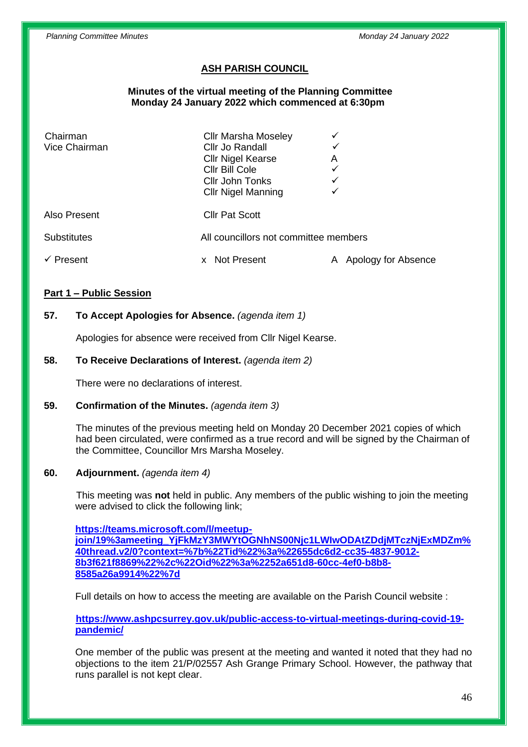# **ASH PARISH COUNCIL**

### **Minutes of the virtual meeting of the Planning Committee Monday 24 January 2022 which commenced at 6:30pm**

| Chairman<br>Vice Chairman     | <b>Cllr Marsha Moseley</b><br>Cllr Jo Randall<br><b>Cllr Nigel Kearse</b><br>Cllr Bill Cole<br>Cllr John Tonks | Α<br>$\checkmark$<br>✓   |
|-------------------------------|----------------------------------------------------------------------------------------------------------------|--------------------------|
| Also Present                  | <b>Cllr Nigel Manning</b><br><b>Cllr Pat Scott</b>                                                             |                          |
| <b>Substitutes</b><br>Present | All councillors not committee members<br>Not Present                                                           | Apology for Absence<br>Α |

## **Part 1 – Public Session**

# **57. To Accept Apologies for Absence.** *(agenda item 1)*

Apologies for absence were received from Cllr Nigel Kearse.

## **58. To Receive Declarations of Interest.** *(agenda item 2)*

There were no declarations of interest.

#### **59. Confirmation of the Minutes.** *(agenda item 3)*

The minutes of the previous meeting held on Monday 20 December 2021 copies of which had been circulated, were confirmed as a true record and will be signed by the Chairman of the Committee, Councillor Mrs Marsha Moseley.

#### **60. Adjournment.** *(agenda item 4)*

This meeting was **not** held in public. Any members of the public wishing to join the meeting were advised to click the following link;

**[https://teams.microsoft.com/l/meetup](https://teams.microsoft.com/l/meetup-join/19%3ameeting_YjFkMzY3MWYtOGNhNS00Njc1LWIwODAtZDdjMTczNjExMDZm%40thread.v2/0?context=%7b%22Tid%22%3a%22655dc6d2-cc35-4837-9012-8b3f621f8869%22%2c%22Oid%22%3a%2252a651d8-60cc-4ef0-b8b8-8585a26a9914%22%7d)[join/19%3ameeting\\_YjFkMzY3MWYtOGNhNS00Njc1LWIwODAtZDdjMTczNjExMDZm%](https://teams.microsoft.com/l/meetup-join/19%3ameeting_YjFkMzY3MWYtOGNhNS00Njc1LWIwODAtZDdjMTczNjExMDZm%40thread.v2/0?context=%7b%22Tid%22%3a%22655dc6d2-cc35-4837-9012-8b3f621f8869%22%2c%22Oid%22%3a%2252a651d8-60cc-4ef0-b8b8-8585a26a9914%22%7d) [40thread.v2/0?context=%7b%22Tid%22%3a%22655dc6d2-cc35-4837-9012-](https://teams.microsoft.com/l/meetup-join/19%3ameeting_YjFkMzY3MWYtOGNhNS00Njc1LWIwODAtZDdjMTczNjExMDZm%40thread.v2/0?context=%7b%22Tid%22%3a%22655dc6d2-cc35-4837-9012-8b3f621f8869%22%2c%22Oid%22%3a%2252a651d8-60cc-4ef0-b8b8-8585a26a9914%22%7d) [8b3f621f8869%22%2c%22Oid%22%3a%2252a651d8-60cc-4ef0-b8b8-](https://teams.microsoft.com/l/meetup-join/19%3ameeting_YjFkMzY3MWYtOGNhNS00Njc1LWIwODAtZDdjMTczNjExMDZm%40thread.v2/0?context=%7b%22Tid%22%3a%22655dc6d2-cc35-4837-9012-8b3f621f8869%22%2c%22Oid%22%3a%2252a651d8-60cc-4ef0-b8b8-8585a26a9914%22%7d) [8585a26a9914%22%7d](https://teams.microsoft.com/l/meetup-join/19%3ameeting_YjFkMzY3MWYtOGNhNS00Njc1LWIwODAtZDdjMTczNjExMDZm%40thread.v2/0?context=%7b%22Tid%22%3a%22655dc6d2-cc35-4837-9012-8b3f621f8869%22%2c%22Oid%22%3a%2252a651d8-60cc-4ef0-b8b8-8585a26a9914%22%7d)**

Full details on how to access the meeting are available on the Parish Council website :

**[https://www.ashpcsurrey.gov.uk/public-access-to-virtual-meetings-during-covid-19](https://www.ashpcsurrey.gov.uk/public-access-to-virtual-meetings-during-covid-19-pandemic/) [pandemic/](https://www.ashpcsurrey.gov.uk/public-access-to-virtual-meetings-during-covid-19-pandemic/)**

One member of the public was present at the meeting and wanted it noted that they had no objections to the item 21/P/02557 Ash Grange Primary School. However, the pathway that runs parallel is not kept clear.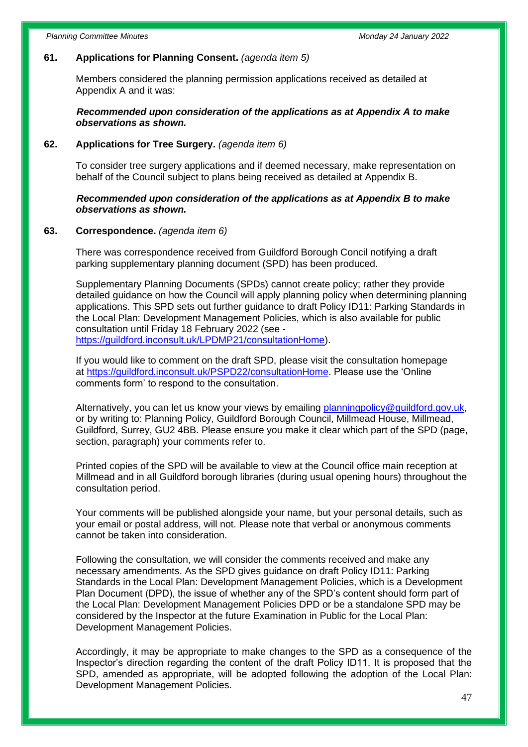## **61. Applications for Planning Consent.** *(agenda item 5)*

Members considered the planning permission applications received as detailed at Appendix A and it was:

 *Recommended upon consideration of the applications as at Appendix A to make observations as shown.*

#### **62. Applications for Tree Surgery.** *(agenda item 6)*

To consider tree surgery applications and if deemed necessary, make representation on behalf of the Council subject to plans being received as detailed at Appendix B.

### *Recommended upon consideration of the applications as at Appendix B to make observations as shown.*

#### **63. Correspondence.** *(agenda item 6)*

There was correspondence received from Guildford Borough Concil notifying a draft parking supplementary planning document (SPD) has been produced.

Supplementary Planning Documents (SPDs) cannot create policy; rather they provide detailed guidance on how the Council will apply planning policy when determining planning applications. This SPD sets out further guidance to draft Policy ID11: Parking Standards in the Local Plan: Development Management Policies, which is also available for public consultation until Friday 18 February 2022 (see [https://guildford.inconsult.uk/LPDMP21/consultationHome\)](https://guildford.inconsult.uk/LPDMP21/consultationHome).

If you would like to comment on the draft SPD, please visit the consultation homepage at [https://guildford.inconsult.uk/PSPD22/consultationHome.](https://guildford.inconsult.uk/PSPD22/consultationHome) Please use the 'Online comments form' to respond to the consultation.

Alternatively, you can let us know your views by emailing [planningpolicy@guildford.gov.uk,](mailto:planningpolicy@guildford.gov.uk) or by writing to: Planning Policy, Guildford Borough Council, Millmead House, Millmead, Guildford, Surrey, GU2 4BB. Please ensure you make it clear which part of the SPD (page, section, paragraph) your comments refer to.

Printed copies of the SPD will be available to view at the Council office main reception at Millmead and in all Guildford borough libraries (during usual opening hours) throughout the consultation period.

Your comments will be published alongside your name, but your personal details, such as your email or postal address, will not. Please note that verbal or anonymous comments cannot be taken into consideration.

Following the consultation, we will consider the comments received and make any necessary amendments. As the SPD gives guidance on draft Policy ID11: Parking Standards in the Local Plan: Development Management Policies, which is a Development Plan Document (DPD), the issue of whether any of the SPD's content should form part of the Local Plan: Development Management Policies DPD or be a standalone SPD may be considered by the Inspector at the future Examination in Public for the Local Plan: Development Management Policies.

Accordingly, it may be appropriate to make changes to the SPD as a consequence of the Inspector's direction regarding the content of the draft Policy ID11. It is proposed that the SPD, amended as appropriate, will be adopted following the adoption of the Local Plan: Development Management Policies.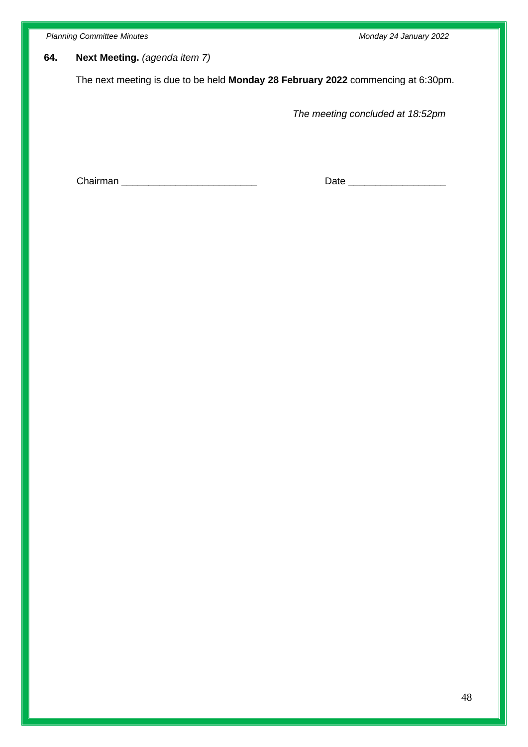*Planning Committee Minutes Monday 24 January 2022*

# **64. Next Meeting.** *(agenda item 7)*

The next meeting is due to be held **Monday 28 February 2022** commencing at 6:30pm.

*The meeting concluded at 18:52pm*

Chairman \_\_\_\_\_\_\_\_\_\_\_\_\_\_\_\_\_\_\_\_\_\_\_\_\_\_\_\_\_\_\_\_\_ Date \_\_\_\_\_\_\_\_\_\_\_\_\_\_\_\_\_\_\_\_\_\_\_\_\_\_\_\_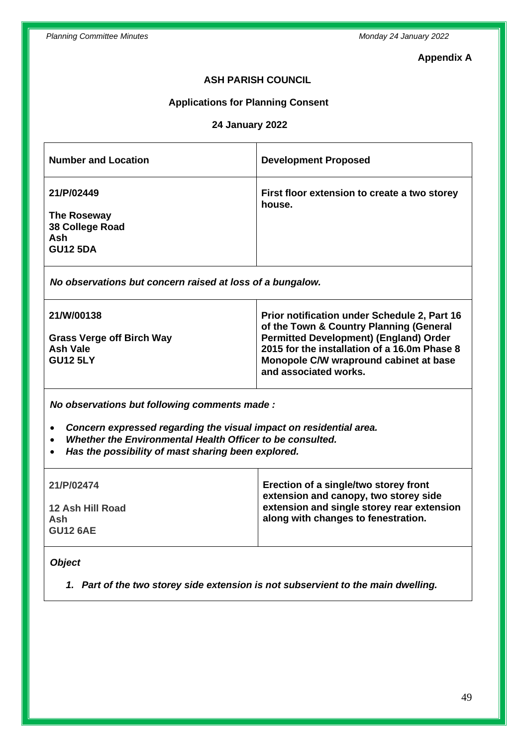### **Appendix A**

# **ASH PARISH COUNCIL**

### **Applications for Planning Consent**

## **24 January 2022**

| <b>Number and Location</b>                                             | <b>Development Proposed</b>                            |
|------------------------------------------------------------------------|--------------------------------------------------------|
| 21/P/02449<br>The Roseway<br>38 College Road<br>Ash<br><b>GU12 5DA</b> | First floor extension to create a two storey<br>house. |

*No observations but concern raised at loss of a bungalow.*

| <b>21/W/00138</b>                                               | Prior notification under Schedule 2, Part 16<br>of the Town & Country Planning (General                                                                          |
|-----------------------------------------------------------------|------------------------------------------------------------------------------------------------------------------------------------------------------------------|
| <b>Grass Verge off Birch Way</b><br>Ash Vale<br><b>GU12 5LY</b> | <b>Permitted Development) (England) Order</b><br>2015 for the installation of a 16.0m Phase 8<br>Monopole C/W wrapround cabinet at base<br>and associated works. |

*No observations but following comments made :*

- *Concern expressed regarding the visual impact on residential area.*
- *Whether the Environmental Health Officer to be consulted.*
- *Has the possibility of mast sharing been explored.*

| 21/P/02474                                 | Erection of a single/two storey front<br>extension and canopy, two storey side    |
|--------------------------------------------|-----------------------------------------------------------------------------------|
| 12 Ash Hill Road<br>Ash<br><b>GU12 6AE</b> | extension and single storey rear extension<br>along with changes to fenestration. |

## *Object*

*1. Part of the two storey side extension is not subservient to the main dwelling.*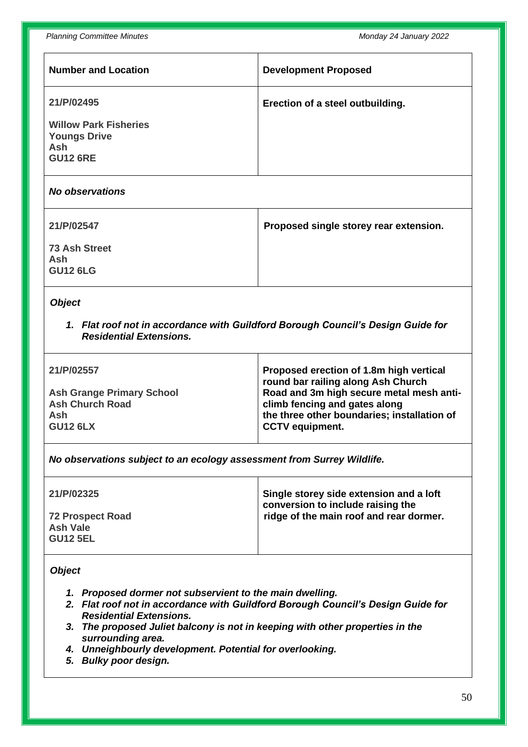*Planning Committee Minutes Monday 24 January 2022*

| <b>Number and Location</b>                                                           | <b>Development Proposed</b>      |
|--------------------------------------------------------------------------------------|----------------------------------|
| 21/P/02495                                                                           | Erection of a steel outbuilding. |
| <b>Willow Park Fisheries</b><br><b>Youngs Drive</b><br><b>Ash</b><br><b>GU12 6RE</b> |                                  |

*No observations* 

| 21/P/02547                                     | Proposed single storey rear extension. |
|------------------------------------------------|----------------------------------------|
| <b>73 Ash Street</b><br>Ash<br><b>GU12 6LG</b> |                                        |

# *Object*

*1. Flat roof not in accordance with Guildford Borough Council's Design Guide for Residential Extensions.*

| 21/P/02557                       | Proposed erection of 1.8m high vertical<br>round bar railing along Ash Church |
|----------------------------------|-------------------------------------------------------------------------------|
| <b>Ash Grange Primary School</b> | Road and 3m high secure metal mesh anti-                                      |
| <b>Ash Church Road</b>           | climb fencing and gates along                                                 |
| Ash                              | the three other boundaries; installation of                                   |
| <b>GU12 6LX</b>                  | <b>CCTV</b> equipment.                                                        |

*No observations subject to an ecology assessment from Surrey Wildlife.*

| 21/P/02325                                                    | Single storey side extension and a loft<br>conversion to include raising the |
|---------------------------------------------------------------|------------------------------------------------------------------------------|
| <b>72 Prospect Road</b><br><b>Ash Vale</b><br><b>GU12 5EL</b> | ridge of the main roof and rear dormer.                                      |

# *Object*

- *1. Proposed dormer not subservient to the main dwelling.*
- *2. Flat roof not in accordance with Guildford Borough Council's Design Guide for Residential Extensions.*
- *3. The proposed Juliet balcony is not in keeping with other properties in the surrounding area.*
- *4. Unneighbourly development. Potential for overlooking.*
- *5. Bulky poor design.*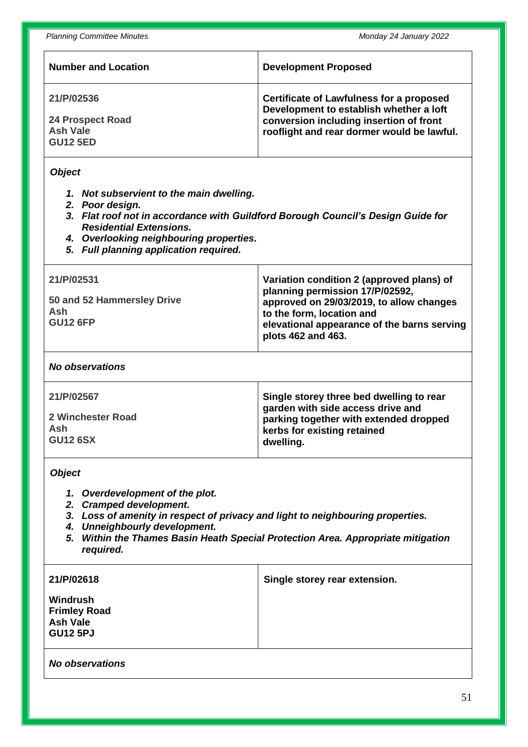| <b>Number and Location</b>                                                                                                                                                                                                                                                              | <b>Development Proposed</b>                                                                                                                                                                                                |  |  |
|-----------------------------------------------------------------------------------------------------------------------------------------------------------------------------------------------------------------------------------------------------------------------------------------|----------------------------------------------------------------------------------------------------------------------------------------------------------------------------------------------------------------------------|--|--|
| 21/P/02536<br><b>24 Prospect Road</b><br><b>Ash Vale</b><br><b>GU12 5ED</b>                                                                                                                                                                                                             | <b>Certificate of Lawfulness for a proposed</b><br>Development to establish whether a loft<br>conversion including insertion of front<br>rooflight and rear dormer would be lawful.                                        |  |  |
| <b>Object</b><br>1. Not subservient to the main dwelling.<br>2. Poor design.<br>3. Flat roof not in accordance with Guildford Borough Council's Design Guide for<br><b>Residential Extensions.</b><br>4. Overlooking neighbouring properties.<br>5. Full planning application required. |                                                                                                                                                                                                                            |  |  |
| 21/P/02531<br>50 and 52 Hammersley Drive<br>Ash<br><b>GU12 6FP</b>                                                                                                                                                                                                                      | Variation condition 2 (approved plans) of<br>planning permission 17/P/02592,<br>approved on 29/03/2019, to allow changes<br>to the form, location and<br>elevational appearance of the barns serving<br>plots 462 and 463. |  |  |
| <b>No observations</b>                                                                                                                                                                                                                                                                  |                                                                                                                                                                                                                            |  |  |
| 21/P/02567<br><b>2 Winchester Road</b><br>Ash<br><b>GU12 6SX</b>                                                                                                                                                                                                                        | Single storey three bed dwelling to rear<br>garden with side access drive and<br>parking together with extended dropped<br>kerbs for existing retained<br>dwelling.                                                        |  |  |
| <b>Object</b><br>1. Overdevelopment of the plot.<br>2. Cramped development.<br>3. Loss of amenity in respect of privacy and light to neighbouring properties.<br><b>Unneighbourly development.</b><br>4.                                                                                |                                                                                                                                                                                                                            |  |  |

*5. Within the Thames Basin Heath Special Protection Area. Appropriate mitigation required.*

| 21/P/02618                                                            | Single storey rear extension. |
|-----------------------------------------------------------------------|-------------------------------|
| Windrush<br><b>Frimley Road</b><br><b>Ash Vale</b><br><b>GU12 5PJ</b> |                               |

# *No observations*